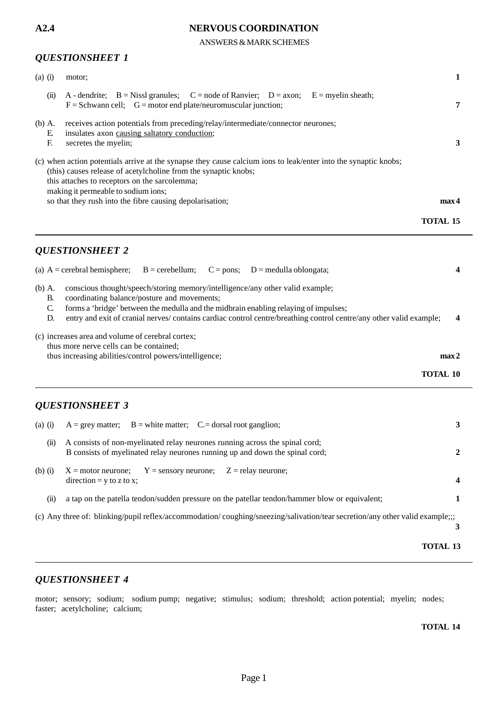ANSWERS & MARK SCHEMES

### *QUESTIONSHEET 1*

| $(a)$ (i)           | motor;                                                                                                                                                                                                                                                                                                                                 |                 |
|---------------------|----------------------------------------------------------------------------------------------------------------------------------------------------------------------------------------------------------------------------------------------------------------------------------------------------------------------------------------|-----------------|
| $\overline{u}$      | A - dendrite; $B = Nissl$ granules; $C = node$ of Ranvier; $D = axon$ ; $E = m$ yelin sheath;<br>$F =$ Schwann cell; $G =$ motor end plate/neuromuscular junction;                                                                                                                                                                     | 7               |
| $(b)$ A.<br>E<br>F. | receives action potentials from preceding/relay/intermediate/connector neurones;<br>insulates axon causing saltatory conduction;<br>secretes the myelin;                                                                                                                                                                               | 3               |
|                     | (c) when action potentials arrive at the synapse they cause calcium ions to leak/enter into the synaptic knobs;<br>(this) causes release of acetylcholine from the synaptic knobs;<br>this attaches to receptors on the sarcolemma;<br>making it permeable to sodium ions;<br>so that they rush into the fibre causing depolarisation; | max 4           |
|                     |                                                                                                                                                                                                                                                                                                                                        | <b>TOTAL 15</b> |

### *QUESTIONSHEET 2*

|                          | (a) $A =$ cerebral hemisphere;                                                                                                                              | $B =$ cerebellum;                           | $C = pons$ ; $D = \text{modulla oblongata}$ ;                                                                                                                                                                                                                                                |              |
|--------------------------|-------------------------------------------------------------------------------------------------------------------------------------------------------------|---------------------------------------------|----------------------------------------------------------------------------------------------------------------------------------------------------------------------------------------------------------------------------------------------------------------------------------------------|--------------|
| (b) A.<br>B.<br>C.<br>D. | coordinating balance/posture and movements;                                                                                                                 |                                             | conscious thought/speech/storing memory/intelligence/any other valid example;<br>forms a 'bridge' between the medulla and the midbrain enabling relaying of impulses;<br>entry and exit of cranial nerves/ contains cardiac control centre/breathing control centre/any other valid example; | 4            |
|                          | (c) increases area and volume of cerebral cortex;<br>thus more nerve cells can be contained;                                                                |                                             |                                                                                                                                                                                                                                                                                              |              |
|                          | thus increasing abilities/control powers/intelligence;                                                                                                      |                                             | max <sub>2</sub><br><b>TOTAL 10</b>                                                                                                                                                                                                                                                          |              |
|                          | <b>QUESTIONSHEET 3</b>                                                                                                                                      |                                             |                                                                                                                                                                                                                                                                                              |              |
| $(a)$ $(i)$              | $A = grey$ matter; $B = white$ matter; $C = dorsal$ root ganglion;                                                                                          |                                             |                                                                                                                                                                                                                                                                                              | 3            |
| (ii)                     | A consists of non-myelinated relay neurones running across the spinal cord;<br>B consists of myelinated relay neurones running up and down the spinal cord; |                                             |                                                                                                                                                                                                                                                                                              | $\mathbf{2}$ |
| $(b)$ $(i)$              | $X = motor$ neurone;<br>$direction = y to z to x;$                                                                                                          | $Y =$ sensory neurone; $Z =$ relay neurone; |                                                                                                                                                                                                                                                                                              | 4            |

- (ii) a tap on the patella tendon/sudden pressure on the patellar tendon/hammer blow or equivalent; **1**
- (c) Any three of: blinking/pupil reflex/accommodation/ coughing/sneezing/salivation/tear secretion/any other valid example;;;

**3**

### **TOTAL 13**

### *QUESTIONSHEET 4*

motor; sensory; sodium; sodium pump; negative; stimulus; sodium; threshold; action potential; myelin; nodes; faster; acetylcholine; calcium;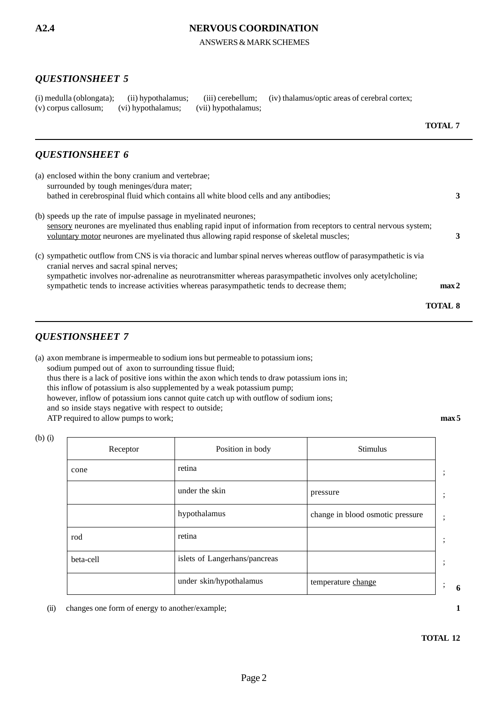ANSWERS & MARK SCHEMES

## *QUESTIONSHEET 5*

|                                                             |  | (i) medulla (oblongata); (ii) hypothalamus; (iii) cerebellum; (iv) thalamus/optic areas of cerebral cortex; |
|-------------------------------------------------------------|--|-------------------------------------------------------------------------------------------------------------|
| (v) corpus callosum; (vi) hypothalamus; (vii) hypothalamus; |  |                                                                                                             |

### *QUESTIONSHEET 6*

| (a) enclosed within the bony cranium and vertebrae;                                                                                                             |                  |
|-----------------------------------------------------------------------------------------------------------------------------------------------------------------|------------------|
| surrounded by tough meninges/dura mater;                                                                                                                        |                  |
| bathed in cerebrospinal fluid which contains all white blood cells and any antibodies;                                                                          | 3                |
| (b) speeds up the rate of impulse passage in myelinated neurones;                                                                                               |                  |
| sensory neurones are myelinated thus enabling rapid input of information from receptors to central nervous system;                                              |                  |
| yoluntary motor neurones are myelinated thus allowing rapid response of skeletal muscles;                                                                       |                  |
| (c) sympathetic outflow from CNS is via thoracic and lumbar spinal nerves whereas outflow of parasympathetic is via<br>cranial nerves and sacral spinal nerves; |                  |
| sympathetic involves nor-adrenaline as neurotransmitter whereas parasympathetic involves only acetylcholine;                                                    |                  |
| sympathetic tends to increase activities whereas parasympathetic tends to decrease them;                                                                        | max <sub>2</sub> |
|                                                                                                                                                                 | <b>TOTAL 8</b>   |

## *QUESTIONSHEET 7*

(b) (i)

 $\Gamma$ 

(a) axon membrane is impermeable to sodium ions but permeable to potassium ions; sodium pumped out of axon to surrounding tissue fluid; thus there is a lack of positive ions within the axon which tends to draw potassium ions in; this inflow of potassium is also supplemented by a weak potassium pump; however, inflow of potassium ions cannot quite catch up with outflow of sodium ions; and so inside stays negative with respect to outside; ATP required to allow pumps to work; **max 5** 

| Receptor  | Position in body              | <b>Stimulus</b>                  |              |
|-----------|-------------------------------|----------------------------------|--------------|
| cone      | retina                        |                                  | $\cdot$      |
|           | under the skin                | pressure                         | ٠<br>$\cdot$ |
|           | hypothalamus                  | change in blood osmotic pressure | ٠<br>$\cdot$ |
| rod       | retina                        |                                  | ٠<br>$\cdot$ |
| beta-cell | islets of Langerhans/pancreas |                                  | $\cdot$      |
|           | under skin/hypothalamus       | temperature change               | ٠<br>$\cdot$ |

(ii) changes one form of energy to another/example; **1**

**6**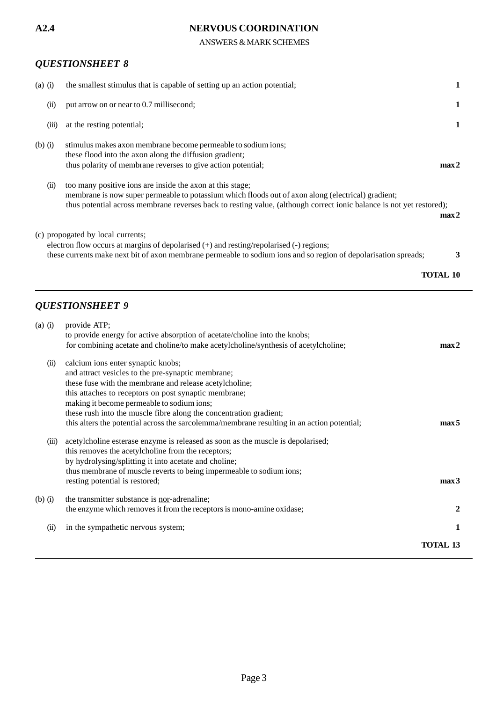ANSWERS & MARK SCHEMES

# *QUESTIONSHEET 8*

| $(a)$ $(i)$ | the smallest stimulus that is capable of setting up an action potential;                                                                                                                                                                                                                |                  |
|-------------|-----------------------------------------------------------------------------------------------------------------------------------------------------------------------------------------------------------------------------------------------------------------------------------------|------------------|
| (ii)        | put arrow on or near to 0.7 millisecond;                                                                                                                                                                                                                                                |                  |
| (iii)       | at the resting potential;                                                                                                                                                                                                                                                               |                  |
| $(b)$ $(i)$ | stimulus makes axon membrane become permeable to sodium ions;<br>these flood into the axon along the diffusion gradient;<br>thus polarity of membrane reverses to give action potential;                                                                                                | max <sub>2</sub> |
| (ii)        | too many positive ions are inside the axon at this stage;<br>membrane is now super permeable to potassium which floods out of axon along (electrical) gradient;<br>thus potential across membrane reverses back to resting value, (although correct ionic balance is not yet restored); | max <sub>2</sub> |
|             | (c) propogated by local currents;<br>electron flow occurs at margins of depolarised (+) and resting/repolarised (-) regions;<br>these currents make next bit of axon membrane permeable to sodium ions and so region of depolarisation spreads;                                         | 3                |
|             |                                                                                                                                                                                                                                                                                         | TOTAL 10         |

# *QUESTIONSHEET 9*

| $(a)$ $(i)$ | provide ATP;                                                                               |                  |
|-------------|--------------------------------------------------------------------------------------------|------------------|
|             | to provide energy for active absorption of acetate/choline into the knobs;                 |                  |
|             | for combining acetate and choline/to make acetylcholine/synthesis of acetylcholine;        | max <sub>2</sub> |
| (ii)        | calcium ions enter synaptic knobs;                                                         |                  |
|             | and attract vesicles to the pre-synaptic membrane;                                         |                  |
|             | these fuse with the membrane and release acetylcholine;                                    |                  |
|             | this attaches to receptors on post synaptic membrane;                                      |                  |
|             | making it become permeable to sodium ions;                                                 |                  |
|             | these rush into the muscle fibre along the concentration gradient;                         |                  |
|             | this alters the potential across the sarcolemma/membrane resulting in an action potential; | max <sub>5</sub> |
| (iii)       | acetylcholine esterase enzyme is released as soon as the muscle is depolarised;            |                  |
|             | this removes the acetylcholine from the receptors;                                         |                  |
|             | by hydrolysing/splitting it into acetate and choline;                                      |                  |
|             | thus membrane of muscle reverts to being impermeable to sodium ions;                       |                  |
|             | resting potential is restored;                                                             | max <sub>3</sub> |
| $(b)$ $(i)$ | the transmitter substance is nor-adrenaline;                                               |                  |
|             | the enzyme which removes it from the receptors is mono-amine oxidase;                      | 2                |
| (ii)        | in the sympathetic nervous system;                                                         | 1                |
|             |                                                                                            | <b>TOTAL 13</b>  |
|             |                                                                                            |                  |